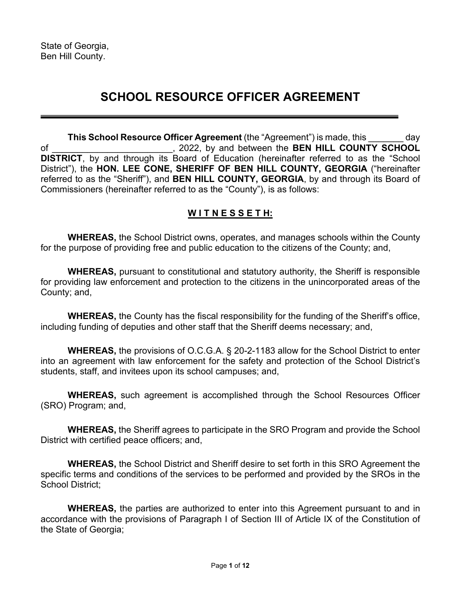# **SCHOOL RESOURCE OFFICER AGREEMENT**

**This School Resource Officer Agreement** (the "Agreement") is made, this day of \_\_\_\_\_\_\_\_\_\_\_\_\_\_\_\_\_\_\_\_\_\_\_\_, 2022, by and between the **BEN HILL COUNTY SCHOOL DISTRICT**, by and through its Board of Education (hereinafter referred to as the "School District"), the **HON. LEE CONE, SHERIFF OF BEN HILL COUNTY, GEORGIA** ("hereinafter referred to as the "Sheriff"), and **BEN HILL COUNTY, GEORGIA**, by and through its Board of Commissioners (hereinafter referred to as the "County"), is as follows:

# **W I T N E S S E T H:**

**WHEREAS,** the School District owns, operates, and manages schools within the County for the purpose of providing free and public education to the citizens of the County; and,

**WHEREAS,** pursuant to constitutional and statutory authority, the Sheriff is responsible for providing law enforcement and protection to the citizens in the unincorporated areas of the County; and,

**WHEREAS,** the County has the fiscal responsibility for the funding of the Sheriff's office, including funding of deputies and other staff that the Sheriff deems necessary; and,

**WHEREAS,** the provisions of O.C.G.A. § 20-2-1183 allow for the School District to enter into an agreement with law enforcement for the safety and protection of the School District's students, staff, and invitees upon its school campuses; and,

**WHEREAS,** such agreement is accomplished through the School Resources Officer (SRO) Program; and,

**WHEREAS,** the Sheriff agrees to participate in the SRO Program and provide the School District with certified peace officers; and,

**WHEREAS,** the School District and Sheriff desire to set forth in this SRO Agreement the specific terms and conditions of the services to be performed and provided by the SROs in the School District;

**WHEREAS,** the parties are authorized to enter into this Agreement pursuant to and in accordance with the provisions of Paragraph I of Section III of Article IX of the Constitution of the State of Georgia;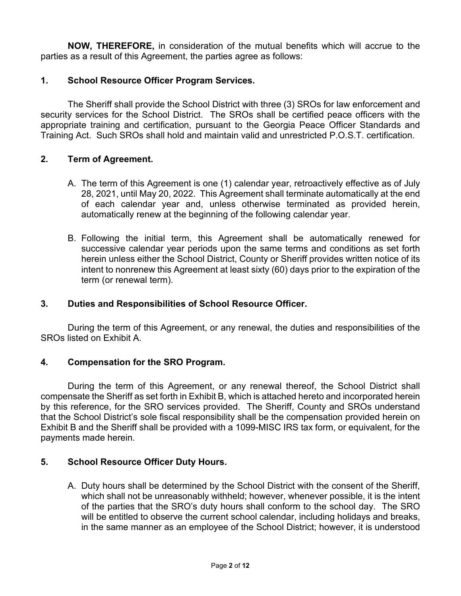**NOW, THEREFORE,** in consideration of the mutual benefits which will accrue to the parties as a result of this Agreement, the parties agree as follows:

## **1. School Resource Officer Program Services.**

The Sheriff shall provide the School District with three (3) SROs for law enforcement and security services for the School District. The SROs shall be certified peace officers with the appropriate training and certification, pursuant to the Georgia Peace Officer Standards and Training Act. Such SROs shall hold and maintain valid and unrestricted P.O.S.T. certification.

#### **2. Term of Agreement.**

- A. The term of this Agreement is one (1) calendar year, retroactively effective as of July 28, 2021, until May 20, 2022. This Agreement shall terminate automatically at the end of each calendar year and, unless otherwise terminated as provided herein, automatically renew at the beginning of the following calendar year.
- B. Following the initial term, this Agreement shall be automatically renewed for successive calendar year periods upon the same terms and conditions as set forth herein unless either the School District, County or Sheriff provides written notice of its intent to nonrenew this Agreement at least sixty (60) days prior to the expiration of the term (or renewal term).

## **3. Duties and Responsibilities of School Resource Officer.**

During the term of this Agreement, or any renewal, the duties and responsibilities of the SROs listed on Exhibit A.

#### **4. Compensation for the SRO Program.**

During the term of this Agreement, or any renewal thereof, the School District shall compensate the Sheriff as set forth in Exhibit B, which is attached hereto and incorporated herein by this reference, for the SRO services provided. The Sheriff, County and SROs understand that the School District's sole fiscal responsibility shall be the compensation provided herein on Exhibit B and the Sheriff shall be provided with a 1099-MISC IRS tax form, or equivalent, for the payments made herein.

#### **5. School Resource Officer Duty Hours.**

A. Duty hours shall be determined by the School District with the consent of the Sheriff, which shall not be unreasonably withheld; however, whenever possible, it is the intent of the parties that the SRO's duty hours shall conform to the school day. The SRO will be entitled to observe the current school calendar, including holidays and breaks, in the same manner as an employee of the School District; however, it is understood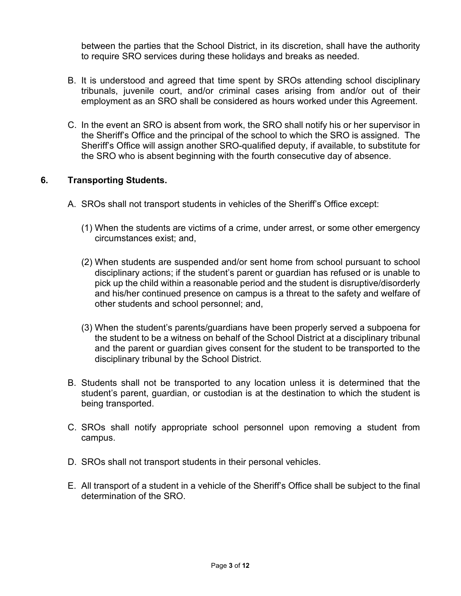between the parties that the School District, in its discretion, shall have the authority to require SRO services during these holidays and breaks as needed.

- B. It is understood and agreed that time spent by SROs attending school disciplinary tribunals, juvenile court, and/or criminal cases arising from and/or out of their employment as an SRO shall be considered as hours worked under this Agreement.
- C. In the event an SRO is absent from work, the SRO shall notify his or her supervisor in the Sheriff's Office and the principal of the school to which the SRO is assigned. The Sheriff's Office will assign another SRO-qualified deputy, if available, to substitute for the SRO who is absent beginning with the fourth consecutive day of absence.

## **6. Transporting Students.**

- A. SROs shall not transport students in vehicles of the Sheriff's Office except:
	- (1) When the students are victims of a crime, under arrest, or some other emergency circumstances exist; and,
	- (2) When students are suspended and/or sent home from school pursuant to school disciplinary actions; if the student's parent or guardian has refused or is unable to pick up the child within a reasonable period and the student is disruptive/disorderly and his/her continued presence on campus is a threat to the safety and welfare of other students and school personnel; and,
	- (3) When the student's parents/guardians have been properly served a subpoena for the student to be a witness on behalf of the School District at a disciplinary tribunal and the parent or guardian gives consent for the student to be transported to the disciplinary tribunal by the School District.
- B. Students shall not be transported to any location unless it is determined that the student's parent, guardian, or custodian is at the destination to which the student is being transported.
- C. SROs shall notify appropriate school personnel upon removing a student from campus.
- D. SROs shall not transport students in their personal vehicles.
- E. All transport of a student in a vehicle of the Sheriff's Office shall be subject to the final determination of the SRO.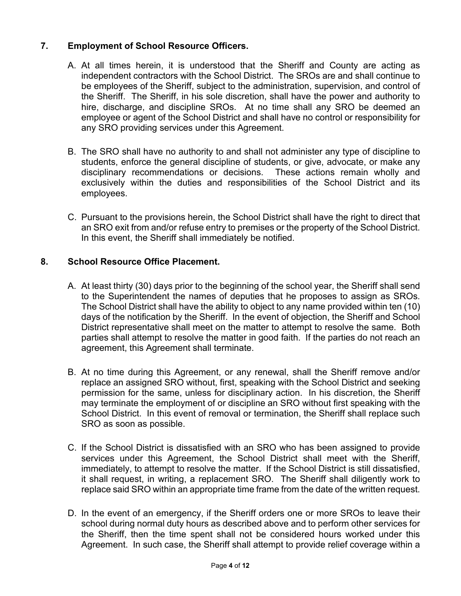# **7. Employment of School Resource Officers.**

- A. At all times herein, it is understood that the Sheriff and County are acting as independent contractors with the School District. The SROs are and shall continue to be employees of the Sheriff, subject to the administration, supervision, and control of the Sheriff. The Sheriff, in his sole discretion, shall have the power and authority to hire, discharge, and discipline SROs. At no time shall any SRO be deemed an employee or agent of the School District and shall have no control or responsibility for any SRO providing services under this Agreement.
- B. The SRO shall have no authority to and shall not administer any type of discipline to students, enforce the general discipline of students, or give, advocate, or make any disciplinary recommendations or decisions. These actions remain wholly and exclusively within the duties and responsibilities of the School District and its employees.
- C. Pursuant to the provisions herein, the School District shall have the right to direct that an SRO exit from and/or refuse entry to premises or the property of the School District. In this event, the Sheriff shall immediately be notified.

## **8. School Resource Office Placement.**

- A. At least thirty (30) days prior to the beginning of the school year, the Sheriff shall send to the Superintendent the names of deputies that he proposes to assign as SROs. The School District shall have the ability to object to any name provided within ten (10) days of the notification by the Sheriff. In the event of objection, the Sheriff and School District representative shall meet on the matter to attempt to resolve the same. Both parties shall attempt to resolve the matter in good faith. If the parties do not reach an agreement, this Agreement shall terminate.
- B. At no time during this Agreement, or any renewal, shall the Sheriff remove and/or replace an assigned SRO without, first, speaking with the School District and seeking permission for the same, unless for disciplinary action. In his discretion, the Sheriff may terminate the employment of or discipline an SRO without first speaking with the School District. In this event of removal or termination, the Sheriff shall replace such SRO as soon as possible.
- C. If the School District is dissatisfied with an SRO who has been assigned to provide services under this Agreement, the School District shall meet with the Sheriff, immediately, to attempt to resolve the matter. If the School District is still dissatisfied, it shall request, in writing, a replacement SRO. The Sheriff shall diligently work to replace said SRO within an appropriate time frame from the date of the written request.
- D. In the event of an emergency, if the Sheriff orders one or more SROs to leave their school during normal duty hours as described above and to perform other services for the Sheriff, then the time spent shall not be considered hours worked under this Agreement. In such case, the Sheriff shall attempt to provide relief coverage within a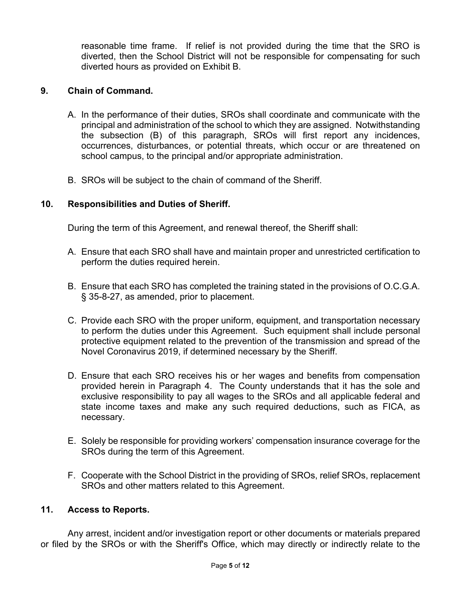reasonable time frame. If relief is not provided during the time that the SRO is diverted, then the School District will not be responsible for compensating for such diverted hours as provided on Exhibit B.

## **9. Chain of Command.**

- A. In the performance of their duties, SROs shall coordinate and communicate with the principal and administration of the school to which they are assigned. Notwithstanding the subsection (B) of this paragraph, SROs will first report any incidences, occurrences, disturbances, or potential threats, which occur or are threatened on school campus, to the principal and/or appropriate administration.
- B. SROs will be subject to the chain of command of the Sheriff.

## **10. Responsibilities and Duties of Sheriff.**

During the term of this Agreement, and renewal thereof, the Sheriff shall:

- A. Ensure that each SRO shall have and maintain proper and unrestricted certification to perform the duties required herein.
- B. Ensure that each SRO has completed the training stated in the provisions of O.C.G.A. § 35-8-27, as amended, prior to placement.
- C. Provide each SRO with the proper uniform, equipment, and transportation necessary to perform the duties under this Agreement. Such equipment shall include personal protective equipment related to the prevention of the transmission and spread of the Novel Coronavirus 2019, if determined necessary by the Sheriff.
- D. Ensure that each SRO receives his or her wages and benefits from compensation provided herein in Paragraph 4. The County understands that it has the sole and exclusive responsibility to pay all wages to the SROs and all applicable federal and state income taxes and make any such required deductions, such as FICA, as necessary.
- E. Solely be responsible for providing workers' compensation insurance coverage for the SROs during the term of this Agreement.
- F. Cooperate with the School District in the providing of SROs, relief SROs, replacement SROs and other matters related to this Agreement.

#### **11. Access to Reports.**

Any arrest, incident and/or investigation report or other documents or materials prepared or filed by the SROs or with the Sheriff's Office, which may directly or indirectly relate to the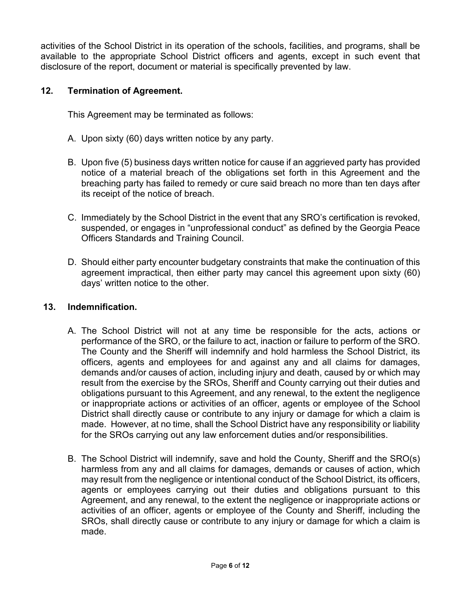activities of the School District in its operation of the schools, facilities, and programs, shall be available to the appropriate School District officers and agents, except in such event that disclosure of the report, document or material is specifically prevented by law.

### **12. Termination of Agreement.**

This Agreement may be terminated as follows:

- A. Upon sixty (60) days written notice by any party.
- B. Upon five (5) business days written notice for cause if an aggrieved party has provided notice of a material breach of the obligations set forth in this Agreement and the breaching party has failed to remedy or cure said breach no more than ten days after its receipt of the notice of breach.
- C. Immediately by the School District in the event that any SRO's certification is revoked, suspended, or engages in "unprofessional conduct" as defined by the Georgia Peace Officers Standards and Training Council.
- D. Should either party encounter budgetary constraints that make the continuation of this agreement impractical, then either party may cancel this agreement upon sixty (60) days' written notice to the other.

#### **13. Indemnification.**

- A. The School District will not at any time be responsible for the acts, actions or performance of the SRO, or the failure to act, inaction or failure to perform of the SRO. The County and the Sheriff will indemnify and hold harmless the School District, its officers, agents and employees for and against any and all claims for damages, demands and/or causes of action, including injury and death, caused by or which may result from the exercise by the SROs, Sheriff and County carrying out their duties and obligations pursuant to this Agreement, and any renewal, to the extent the negligence or inappropriate actions or activities of an officer, agents or employee of the School District shall directly cause or contribute to any injury or damage for which a claim is made. However, at no time, shall the School District have any responsibility or liability for the SROs carrying out any law enforcement duties and/or responsibilities.
- B. The School District will indemnify, save and hold the County, Sheriff and the SRO(s) harmless from any and all claims for damages, demands or causes of action, which may result from the negligence or intentional conduct of the School District, its officers, agents or employees carrying out their duties and obligations pursuant to this Agreement, and any renewal, to the extent the negligence or inappropriate actions or activities of an officer, agents or employee of the County and Sheriff, including the SROs, shall directly cause or contribute to any injury or damage for which a claim is made.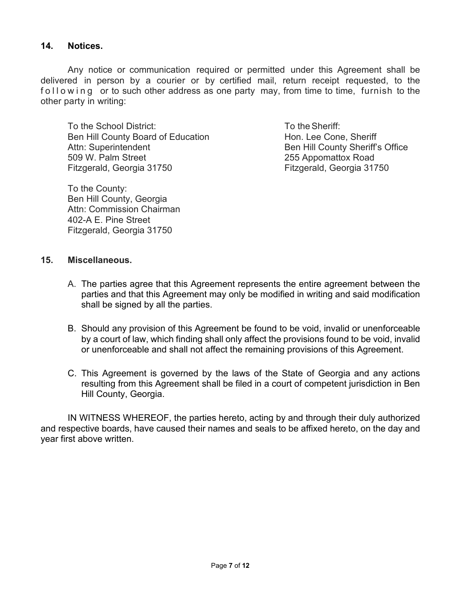#### **14. Notices.**

Any notice or communication required or permitted under this Agreement shall be delivered in person by a courier or by certified mail, return receipt requested, to the following or to such other address as one party may, from time to time, furnish to the other party in writing:

To the School District: To the Sheriff: Ben Hill County Board of Education Hon. Lee Cone, Sheriff Attn: Superintendent **Ben Hill County Sheriff's Office** 509 W. Palm Street 255 Appomattox Road Fitzgerald, Georgia 31750 Fitzgerald, Georgia 31750

To the County: Ben Hill County, Georgia Attn: Commission Chairman 402-A E. Pine Street Fitzgerald, Georgia 31750

#### **15. Miscellaneous.**

- A. The parties agree that this Agreement represents the entire agreement between the parties and that this Agreement may only be modified in writing and said modification shall be signed by all the parties.
- B. Should any provision of this Agreement be found to be void, invalid or unenforceable by a court of law, which finding shall only affect the provisions found to be void, invalid or unenforceable and shall not affect the remaining provisions of this Agreement.
- C. This Agreement is governed by the laws of the State of Georgia and any actions resulting from this Agreement shall be filed in a court of competent jurisdiction in Ben Hill County, Georgia.

IN WITNESS WHEREOF, the parties hereto, acting by and through their duly authorized and respective boards, have caused their names and seals to be affixed hereto, on the day and year first above written.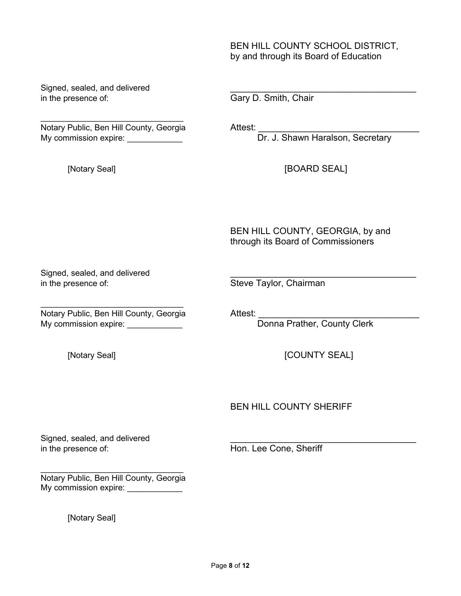BEN HILL COUNTY SCHOOL DISTRICT, by and through its Board of Education

Signed, sealed, and delivered in the presence of: Gary D. Smith, Chair

 $\mathcal{L}_\text{max}$  , which is a set of the set of the set of the set of the set of the set of the set of the set of the set of the set of the set of the set of the set of the set of the set of the set of the set of the set of Notary Public, Ben Hill County, Georgia Attest: \_\_\_\_\_\_\_\_\_\_\_\_\_\_\_\_\_\_\_\_\_\_\_\_\_\_\_\_\_\_\_\_ My commission expire: \_\_\_\_\_\_\_\_\_\_\_\_\_

[Notary Seal] **[BOARD SEAL]** 

BEN HILL COUNTY, GEORGIA, by and through its Board of Commissioners

Signed, sealed, and delivered in the presence of: Steve Taylor, Chairman

 $\frac{1}{2}$  , and the set of the set of the set of the set of the set of the set of the set of the set of the set of the set of the set of the set of the set of the set of the set of the set of the set of the set of the set Notary Public, Ben Hill County, Georgia Attest: \_\_\_\_\_\_\_\_\_\_\_\_\_\_\_\_\_\_\_\_\_\_\_\_\_\_\_\_\_\_\_\_ My commission expire: \_\_\_\_\_\_\_\_\_\_\_\_

[Notary Seal] **[COUNTY SEAL]** 

BEN HILL COUNTY SHERIFF

Signed, sealed, and delivered in the presence of: The Matter of the Hon. Lee Cone, Sheriff

 $\frac{1}{2}$  , and the set of the set of the set of the set of the set of the set of the set of the set of the set of the set of the set of the set of the set of the set of the set of the set of the set of the set of the set Notary Public, Ben Hill County, Georgia My commission expire: \_\_\_\_\_\_\_\_\_\_\_\_

[Notary Seal]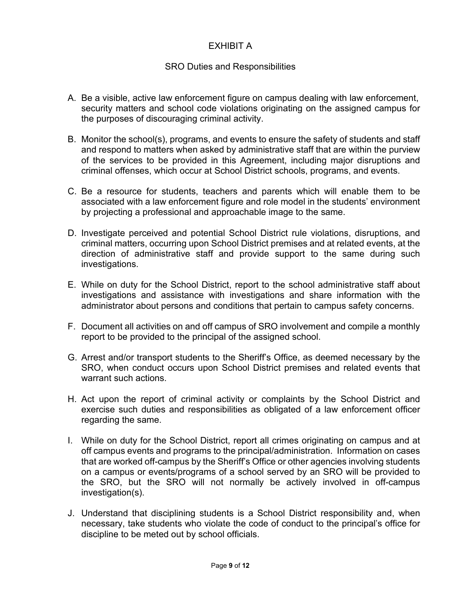## EXHIBIT A

#### SRO Duties and Responsibilities

- A. Be a visible, active law enforcement figure on campus dealing with law enforcement, security matters and school code violations originating on the assigned campus for the purposes of discouraging criminal activity.
- B. Monitor the school(s), programs, and events to ensure the safety of students and staff and respond to matters when asked by administrative staff that are within the purview of the services to be provided in this Agreement, including major disruptions and criminal offenses, which occur at School District schools, programs, and events.
- C. Be a resource for students, teachers and parents which will enable them to be associated with a law enforcement figure and role model in the students' environment by projecting a professional and approachable image to the same.
- D. Investigate perceived and potential School District rule violations, disruptions, and criminal matters, occurring upon School District premises and at related events, at the direction of administrative staff and provide support to the same during such investigations.
- E. While on duty for the School District, report to the school administrative staff about investigations and assistance with investigations and share information with the administrator about persons and conditions that pertain to campus safety concerns.
- F. Document all activities on and off campus of SRO involvement and compile a monthly report to be provided to the principal of the assigned school.
- G. Arrest and/or transport students to the Sheriff's Office, as deemed necessary by the SRO, when conduct occurs upon School District premises and related events that warrant such actions.
- H. Act upon the report of criminal activity or complaints by the School District and exercise such duties and responsibilities as obligated of a law enforcement officer regarding the same.
- I. While on duty for the School District, report all crimes originating on campus and at off campus events and programs to the principal/administration. Information on cases that are worked off-campus by the Sheriff's Office or other agencies involving students on a campus or events/programs of a school served by an SRO will be provided to the SRO, but the SRO will not normally be actively involved in off-campus investigation(s).
- J. Understand that disciplining students is a School District responsibility and, when necessary, take students who violate the code of conduct to the principal's office for discipline to be meted out by school officials.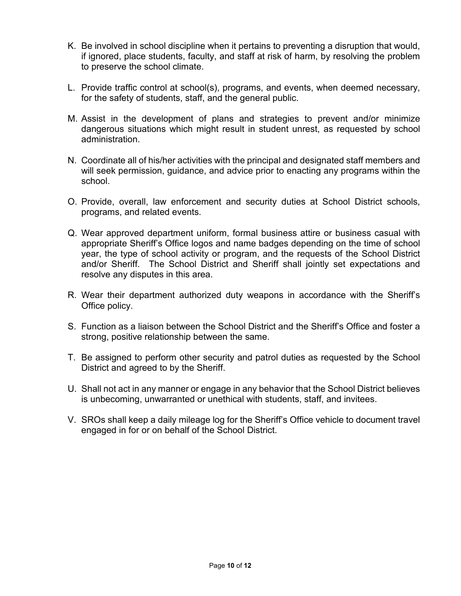- K. Be involved in school discipline when it pertains to preventing a disruption that would, if ignored, place students, faculty, and staff at risk of harm, by resolving the problem to preserve the school climate.
- L. Provide traffic control at school(s), programs, and events, when deemed necessary, for the safety of students, staff, and the general public.
- M. Assist in the development of plans and strategies to prevent and/or minimize dangerous situations which might result in student unrest, as requested by school administration.
- N. Coordinate all of his/her activities with the principal and designated staff members and will seek permission, guidance, and advice prior to enacting any programs within the school.
- O. Provide, overall, law enforcement and security duties at School District schools, programs, and related events.
- Q. Wear approved department uniform, formal business attire or business casual with appropriate Sheriff's Office logos and name badges depending on the time of school year, the type of school activity or program, and the requests of the School District and/or Sheriff. The School District and Sheriff shall jointly set expectations and resolve any disputes in this area.
- R. Wear their department authorized duty weapons in accordance with the Sheriff's Office policy.
- S. Function as a liaison between the School District and the Sheriff's Office and foster a strong, positive relationship between the same.
- T. Be assigned to perform other security and patrol duties as requested by the School District and agreed to by the Sheriff.
- U. Shall not act in any manner or engage in any behavior that the School District believes is unbecoming, unwarranted or unethical with students, staff, and invitees.
- V. SROs shall keep a daily mileage log for the Sheriff's Office vehicle to document travel engaged in for or on behalf of the School District.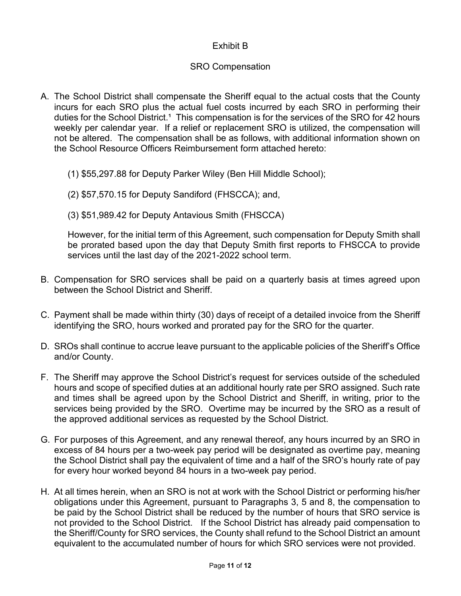# Exhibit B

## SRO Compensation

- A. The School District shall compensate the Sheriff equal to the actual costs that the County incurs for each SRO plus the actual fuel costs incurred by each SRO in performing their duties for the School District.<sup>1</sup> This compensation is for the services of the SRO for 42 hours weekly per calendar year. If a relief or replacement SRO is utilized, the compensation will not be altered. The compensation shall be as follows, with additional information shown on the School Resource Officers Reimbursement form attached hereto:
	- (1) \$55,297.88 for Deputy Parker Wiley (Ben Hill Middle School);
	- (2) \$57,570.15 for Deputy Sandiford (FHSCCA); and,
	- (3) \$51,989.42 for Deputy Antavious Smith (FHSCCA)

However, for the initial term of this Agreement, such compensation for Deputy Smith shall be prorated based upon the day that Deputy Smith first reports to FHSCCA to provide services until the last day of the 2021-2022 school term.

- B. Compensation for SRO services shall be paid on a quarterly basis at times agreed upon between the School District and Sheriff.
- C. Payment shall be made within thirty (30) days of receipt of a detailed invoice from the Sheriff identifying the SRO, hours worked and prorated pay for the SRO for the quarter.
- D. SROs shall continue to accrue leave pursuant to the applicable policies of the Sheriff's Office and/or County.
- F. The Sheriff may approve the School District's request for services outside of the scheduled hours and scope of specified duties at an additional hourly rate per SRO assigned. Such rate and times shall be agreed upon by the School District and Sheriff, in writing, prior to the services being provided by the SRO. Overtime may be incurred by the SRO as a result of the approved additional services as requested by the School District.
- G. For purposes of this Agreement, and any renewal thereof, any hours incurred by an SRO in excess of 84 hours per a two-week pay period will be designated as overtime pay, meaning the School District shall pay the equivalent of time and a half of the SRO's hourly rate of pay for every hour worked beyond 84 hours in a two-week pay period.
- H. At all times herein, when an SRO is not at work with the School District or performing his/her obligations under this Agreement, pursuant to Paragraphs 3, 5 and 8, the compensation to be paid by the School District shall be reduced by the number of hours that SRO service is not provided to the School District. If the School District has already paid compensation to the Sheriff/County for SRO services, the County shall refund to the School District an amount equivalent to the accumulated number of hours for which SRO services were not provided.